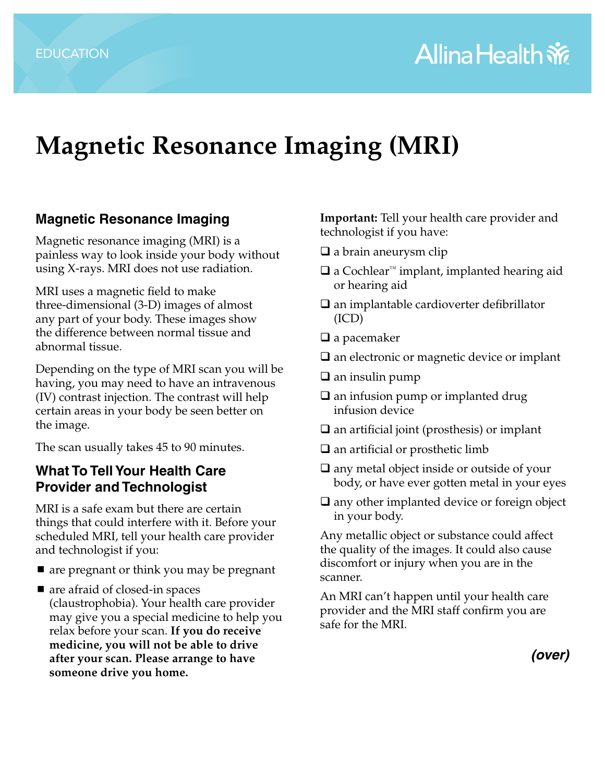# **Magnetic Resonance Imaging (MRI)**

#### **Magnetic Resonance Imaging**

Magnetic resonance imaging (MRI) is a painless way to look inside your body without using X-rays. MRI does not use radiation.

MRI uses a magnetic field to make three-dimensional (3-D) images of almost any part of your body. These images show the difference between normal tissue and abnormal tissue.

Depending on the type of MRI scan you will be having, you may need to have an intravenous (IV) contrast injection. The contrast will help certain areas in your body be seen better on the image.

The scan usually takes 45 to 90 minutes.

#### **What To Tell Your Health Care Provider and Technologist**

MRI is a safe exam but there are certain things that could interfere with it. Before your scheduled MRI, tell your health care provider and technologist if you:

- are pregnant or think you may be pregnant
- are afraid of closed-in spaces (claustrophobia). Your health care provider may give you a special medicine to help you relax before your scan. **If you do receive medicine, you will not be able to drive after your scan. Please arrange to have someone drive you home.**

**Important:** Tell your health care provider and technologist if you have:

- $\Box$  a brain aneurysm clip
- a Cochlear™ implant, implanted hearing aid or hearing aid
- $\square$  an implantable cardioverter defibrillator (ICD)
- $\Box$  a pacemaker
- $\square$  an electronic or magnetic device or implant
- $\Box$  an insulin pump
- $\square$  an infusion pump or implanted drug infusion device
- $\square$  an artificial joint (prosthesis) or implant
- $\Box$  an artificial or prosthetic limb
- $\Box$  any metal object inside or outside of your body, or have ever gotten metal in your eyes
- $\square$  any other implanted device or foreign object in your body.

Any metallic object or substance could affect the quality of the images. It could also cause discomfort or injury when you are in the scanner.

An MRI can't happen until your health care provider and the MRI staff confirm you are safe for the MRI.

*(over)*